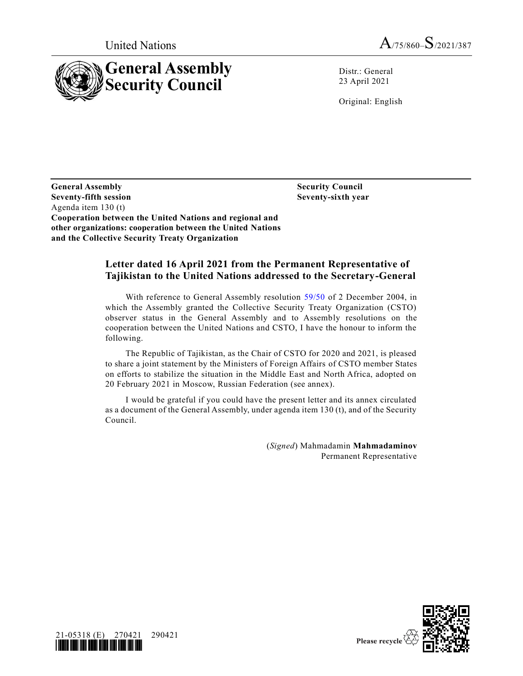



Distr.: General 23 April 2021

Original: English

**General Assembly Security Council Seventy-fifth session Seventy-sixth year** Agenda item 130 (t) **Cooperation between the United Nations and regional and other organizations: cooperation between the United Nations and the Collective Security Treaty Organization**

## **Letter dated 16 April 2021 from the Permanent Representative of Tajikistan to the United Nations addressed to the Secretary-General**

With reference to General Assembly resolution [59/50](https://undocs.org/en/A/RES/59/50) of 2 December 2004, in which the Assembly granted the Collective Security Treaty Organization (CSTO) observer status in the General Assembly and to Assembly resolutions on the cooperation between the United Nations and CSTO, I have the honour to inform the following.

The Republic of Tajikistan, as the Chair of CSTO for 2020 and 2021, is pleased to share a joint statement by the Ministers of Foreign Affairs of CSTO member States on efforts to stabilize the situation in the Middle East and North Africa, adopted on 20 February 2021 in Moscow, Russian Federation (see annex).

I would be grateful if you could have the present letter and its annex circulated as a document of the General Assembly, under agenda item 130 (t), and of the Security Council.

> (*Signed*) Mahmadamin **Mahmadaminov** Permanent Representative



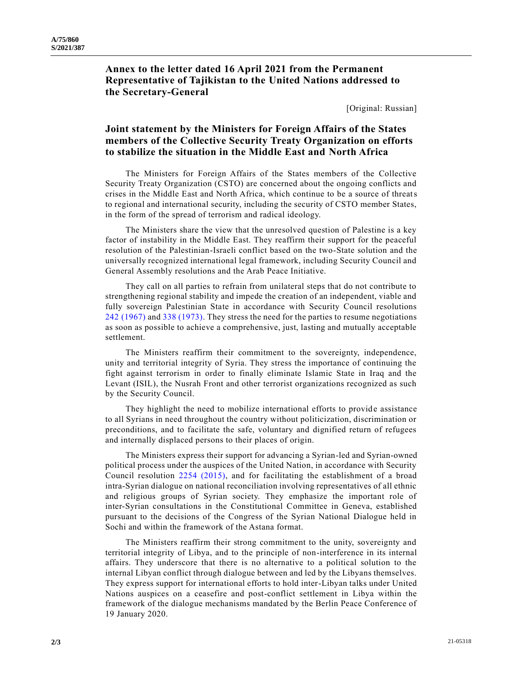**Annex to the letter dated 16 April 2021 from the Permanent Representative of Tajikistan to the United Nations addressed to the Secretary-General**

[Original: Russian]

## **Joint statement by the Ministers for Foreign Affairs of the States members of the Collective Security Treaty Organization on efforts to stabilize the situation in the Middle East and North Africa**

The Ministers for Foreign Affairs of the States members of the Collective Security Treaty Organization (CSTO) are concerned about the ongoing conflicts and crises in the Middle East and North Africa, which continue to be a source of threats to regional and international security, including the security of CSTO member States, in the form of the spread of terrorism and radical ideology.

The Ministers share the view that the unresolved question of Palestine is a key factor of instability in the Middle East. They reaffirm their support for the peaceful resolution of the Palestinian-Israeli conflict based on the two-State solution and the universally recognized international legal framework, including Security Council and General Assembly resolutions and the Arab Peace Initiative.

They call on all parties to refrain from unilateral steps that do not contribute to strengthening regional stability and impede the creation of an independent, viable and fully sovereign Palestinian State in accordance with Security Council resolutions 242 [\(1967\)](https://undocs.org/en/S/RES/242(1967)) an[d 338 \(1973\).](https://undocs.org/en/S/RES/338(1973)) They stress the need for the parties to resume negotiations as soon as possible to achieve a comprehensive, just, lasting and mutually acceptable settlement.

The Ministers reaffirm their commitment to the sovereignty, independence, unity and territorial integrity of Syria. They stress the importance of continuing the fight against terrorism in order to finally eliminate Islamic State in Iraq and the Levant (ISIL), the Nusrah Front and other terrorist organizations recognized as such by the Security Council.

They highlight the need to mobilize international efforts to provide assistance to all Syrians in need throughout the country without politicization, discrimination or preconditions, and to facilitate the safe, voluntary and dignified return of refugees and internally displaced persons to their places of origin.

The Ministers express their support for advancing a Syrian-led and Syrian-owned political process under the auspices of the United Nation, in accordance with Security Council resolution [2254 \(2015\),](https://undocs.org/en/S/RES/2254(2015)) and for facilitating the establishment of a broad intra-Syrian dialogue on national reconciliation involving representatives of all ethnic and religious groups of Syrian society. They emphasize the important role of inter-Syrian consultations in the Constitutional Committee in Geneva, established pursuant to the decisions of the Congress of the Syrian National Dialogue held in Sochi and within the framework of the Astana format.

The Ministers reaffirm their strong commitment to the unity, sovereignty and territorial integrity of Libya, and to the principle of non-interference in its internal affairs. They underscore that there is no alternative to a political solution to the internal Libyan conflict through dialogue between and led by the Libyans themselves. They express support for international efforts to hold inter-Libyan talks under United Nations auspices on a ceasefire and post-conflict settlement in Libya within the framework of the dialogue mechanisms mandated by the Berlin Peace Conference of 19 January 2020.